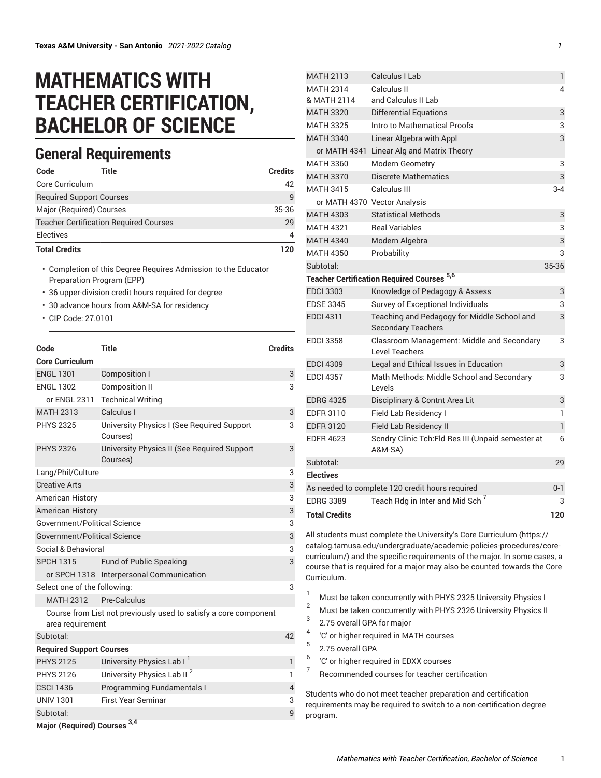## **MATHEMATICS WITH TEACHER CERTIFICATION, BACHELOR OF SCIENCE**

## **General Requirements**

| Code                 | Title                                         | <b>Credits</b> |
|----------------------|-----------------------------------------------|----------------|
| Core Curriculum      |                                               | 42             |
|                      | <b>Required Support Courses</b>               | q              |
|                      | Major (Required) Courses                      | 35-36          |
|                      | <b>Teacher Certification Required Courses</b> | 29             |
| Electives            |                                               | 4              |
| <b>Total Credits</b> |                                               | 120            |

• Completion of this Degree Requires Admission to the Educator Preparation Program (EPP)

- 36 upper-division credit hours required for degree
- 30 advance hours from A&M-SA for residency
- CIP Code: 27.0101

| Code                            | <b>Title</b>                                                     | <b>Credits</b> |
|---------------------------------|------------------------------------------------------------------|----------------|
| <b>Core Curriculum</b>          |                                                                  |                |
| <b>ENGL 1301</b>                | <b>Composition I</b>                                             | 3              |
| <b>ENGL 1302</b>                | <b>Composition II</b>                                            | 3              |
| or ENGL 2311                    | <b>Technical Writing</b>                                         |                |
| <b>MATH 2313</b>                | Calculus I                                                       | 3              |
| <b>PHYS 2325</b>                | University Physics I (See Required Support<br>Courses)           | 3              |
| <b>PHYS 2326</b>                | University Physics II (See Required Support<br>Courses)          | 3              |
| Lang/Phil/Culture               |                                                                  | 3              |
| <b>Creative Arts</b>            |                                                                  | 3              |
| <b>American History</b>         |                                                                  | 3              |
| <b>American History</b>         |                                                                  | 3              |
| Government/Political Science    |                                                                  | 3              |
| Government/Political Science    |                                                                  | 3              |
| Social & Behavioral             |                                                                  | 3              |
| <b>SPCH 1315</b>                | Fund of Public Speaking                                          | 3              |
|                                 | or SPCH 1318 Interpersonal Communication                         |                |
| Select one of the following:    |                                                                  | 3              |
| <b>MATH 2312</b>                | Pre-Calculus                                                     |                |
| area requirement                | Course from List not previously used to satisfy a core component |                |
| Subtotal:                       |                                                                  | 42             |
| <b>Required Support Courses</b> |                                                                  |                |
| <b>PHYS 2125</b>                | University Physics Lab I <sup>1</sup>                            | 1              |
| <b>PHYS 2126</b>                | University Physics Lab II <sup>2</sup>                           | 1              |
| <b>CSCI 1436</b>                | Programming Fundamentals I                                       | 4              |
| <b>UNIV 1301</b>                | <b>First Year Seminar</b>                                        | 3              |
| Subtotal:                       |                                                                  | 9              |
|                                 | 2 <sub>A</sub>                                                   |                |

|            | <b>MATH 2113</b>     | Calculus I Lab                                                           | 1              |
|------------|----------------------|--------------------------------------------------------------------------|----------------|
|            | <b>MATH 2314</b>     | Calculus II                                                              | 4              |
|            | & MATH 2114          | and Calculus II Lab                                                      |                |
|            | <b>MATH 3320</b>     | <b>Differential Equations</b>                                            | 3              |
|            | <b>MATH 3325</b>     | Intro to Mathematical Proofs                                             | 3              |
|            | <b>MATH 3340</b>     | Linear Algebra with Appl                                                 | 3              |
|            | or MATH 4341         | Linear Alg and Matrix Theory                                             |                |
| dits:      | <b>MATH 3360</b>     | <b>Modern Geometry</b>                                                   | 3              |
|            | <b>MATH 3370</b>     | Discrete Mathematics                                                     | 3              |
| 42         | <b>MATH 3415</b>     | Calculus III                                                             | $3 - 4$        |
| 9          |                      | or MATH 4370 Vector Analysis                                             |                |
| 5-36       | <b>MATH 4303</b>     | <b>Statistical Methods</b>                                               | 3              |
| 29         | <b>MATH 4321</b>     | <b>Real Variables</b>                                                    | 3              |
| 4          | <b>MATH 4340</b>     | Modern Algebra                                                           | 3              |
| 120        | <b>MATH 4350</b>     | Probability                                                              | 3              |
|            | Subtotal:            |                                                                          | 35-36          |
|            |                      | <b>Teacher Certification Required Courses 5,6</b>                        |                |
|            | <b>EDCI 3303</b>     | Knowledge of Pedagogy & Assess                                           | 3              |
|            | <b>EDSE 3345</b>     | Survey of Exceptional Individuals                                        | 3              |
|            | <b>EDCI 4311</b>     | Teaching and Pedagogy for Middle School and<br><b>Secondary Teachers</b> | 3              |
| dits:      | <b>EDCI 3358</b>     | Classroom Management: Middle and Secondary<br><b>Level Teachers</b>      | 3              |
|            | <b>EDCI 4309</b>     | Legal and Ethical Issues in Education                                    | 3              |
| 3<br>3     | <b>EDCI 4357</b>     | Math Methods: Middle School and Secondary<br>Levels                      | 3              |
|            | <b>EDRG 4325</b>     | Disciplinary & Contnt Area Lit                                           | 3              |
| $\sqrt{3}$ | <b>EDFR 3110</b>     | Field Lab Residency I                                                    | 1              |
| 3          | <b>EDFR 3120</b>     | <b>Field Lab Residency II</b>                                            | $\overline{1}$ |
| 3          | <b>EDFR 4623</b>     | Scndry Clinic Tch: Fld Res III (Unpaid semester at<br>A&M-SA)            | 6              |
|            | Subtotal:            |                                                                          | 29             |
| 3          | <b>Electives</b>     |                                                                          |                |
| 3          |                      | As needed to complete 120 credit hours required                          | $0 - 1$        |
| 3          | <b>EDRG 3389</b>     | Teach Rdg in Inter and Mid Sch <sup>7</sup>                              | 3              |
| 3          | <b>Total Credits</b> |                                                                          | 120            |
| 3          |                      |                                                                          |                |
| 3          |                      | All students must complete the University's Core Curriculum (https://    |                |
| 3          |                      | catalog.tamusa.edu/undergraduate/academic-policies-procedures/core-      |                |

[catalog.tamusa.edu/undergraduate/academic-policies-procedures/core](https://catalog.tamusa.edu/undergraduate/academic-policies-procedures/core-curriculum/)[curriculum/](https://catalog.tamusa.edu/undergraduate/academic-policies-procedures/core-curriculum/)) and the specific requirements of the major. In some cases, a course that is required for a major may also be counted towards the Core Curriculum.

- <sup>1</sup> Must be taken concurrently with PHYS 2325 University Physics I
- <sup>2</sup> Must be taken concurrently with PHYS <sup>2326</sup> University Physics II
- 3 2.75 overall GPA for major
- 4 'C' or higher required in MATH courses
- 5 2.75 overall GPA
- 6 'C' or higher required in EDXX courses
- 7 Recommended courses for teacher certification

Students who do not meet teacher preparation and certification requirements may be required to switch to a non-certification degree program.

4

3

3

3

6

3

**Major (Required) Courses 3,4**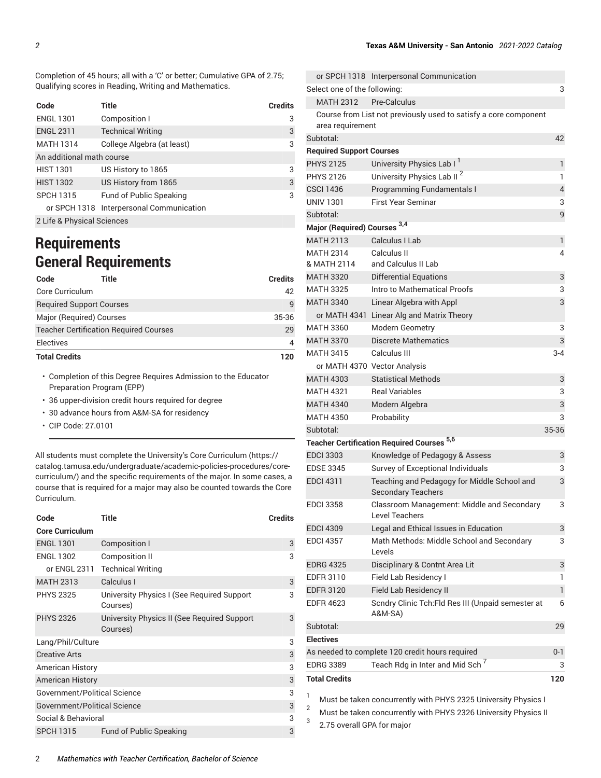Completion of 45 hours; all with a 'C' or better; Cumulative GPA of 2.75; Qualifying scores in Reading, Writing and Mathematics.

| Code                       | Title                                    | <b>Credits</b> |
|----------------------------|------------------------------------------|----------------|
| <b>ENGL 1301</b>           | Composition I                            | 3              |
| <b>ENGL 2311</b>           | <b>Technical Writing</b>                 | 3              |
| <b>MATH 1314</b>           | College Algebra (at least)               | 3              |
| An additional math course  |                                          |                |
| <b>HIST 1301</b>           | US History to 1865                       | 3              |
| <b>HIST 1302</b>           | US History from 1865                     | 3              |
| <b>SPCH 1315</b>           | <b>Fund of Public Speaking</b>           | 3              |
|                            | or SPCH 1318 Interpersonal Communication |                |
| 2 Life & Physical Sciences |                                          |                |

## **Requirements General Requirements**

| Code                            | Title                                         | <b>Credits</b> |
|---------------------------------|-----------------------------------------------|----------------|
| Core Curriculum                 |                                               | 42             |
| <b>Required Support Courses</b> |                                               | $\mathsf{q}$   |
| Major (Required) Courses        |                                               | 35-36          |
|                                 | <b>Teacher Certification Required Courses</b> | 29             |
| Electives                       |                                               | 4              |
| <b>Total Credits</b>            |                                               | 120            |

• Completion of this Degree Requires Admission to the Educator Preparation Program (EPP)

• 36 upper-division credit hours required for degree

- 30 advance hours from A&M-SA for residency
- CIP Code: 27.0101

All students must complete the University's Core [Curriculum \(https://](https://catalog.tamusa.edu/undergraduate/academic-policies-procedures/core-curriculum/) [catalog.tamusa.edu/undergraduate/academic-policies-procedures/core](https://catalog.tamusa.edu/undergraduate/academic-policies-procedures/core-curriculum/)[curriculum/\)](https://catalog.tamusa.edu/undergraduate/academic-policies-procedures/core-curriculum/) and the specific requirements of the major. In some cases, a course that is required for a major may also be counted towards the Core Curriculum.

| Code                         | Title                                                   | <b>Credits</b> |
|------------------------------|---------------------------------------------------------|----------------|
| <b>Core Curriculum</b>       |                                                         |                |
| <b>ENGL 1301</b>             | Composition I                                           | 3              |
| <b>ENGL 1302</b>             | Composition II                                          | 3              |
| or ENGL 2311                 | <b>Technical Writing</b>                                |                |
| <b>MATH 2313</b>             | Calculus I                                              | 3              |
| <b>PHYS 2325</b>             | University Physics I (See Required Support<br>Courses)  | 3              |
| <b>PHYS 2326</b>             | University Physics II (See Required Support<br>Courses) | 3              |
| Lang/Phil/Culture            |                                                         | 3              |
| <b>Creative Arts</b>         |                                                         | 3              |
| <b>American History</b>      |                                                         | 3              |
| <b>American History</b>      |                                                         | 3              |
| Government/Political Science |                                                         | 3              |
| Government/Political Science |                                                         | 3              |
| Social & Behavioral          |                                                         | 3              |
| <b>SPCH 1315</b>             | <b>Fund of Public Speaking</b>                          | 3              |

|                                                            | or SPCH 1318 Interpersonal Communication                                 |                |  |
|------------------------------------------------------------|--------------------------------------------------------------------------|----------------|--|
| Select one of the following:<br>3                          |                                                                          |                |  |
| <b>MATH 2312</b>                                           | Pre-Calculus                                                             |                |  |
|                                                            | Course from List not previously used to satisfy a core component         |                |  |
| area requirement                                           |                                                                          |                |  |
| Subtotal:                                                  |                                                                          | 42             |  |
| <b>Required Support Courses</b>                            |                                                                          |                |  |
| <b>PHYS 2125</b>                                           | University Physics Lab I <sup>1</sup>                                    | 1              |  |
| <b>PHYS 2126</b>                                           | University Physics Lab II <sup>2</sup>                                   | 1              |  |
| <b>CSCI 1436</b>                                           | Programming Fundamentals I                                               | $\overline{4}$ |  |
| <b>UNIV 1301</b>                                           | <b>First Year Seminar</b>                                                | 3              |  |
| Subtotal:                                                  |                                                                          | 9              |  |
| Major (Required) Courses 3,4                               |                                                                          |                |  |
| <b>MATH 2113</b>                                           | Calculus I Lab                                                           | 1              |  |
| <b>MATH 2314</b>                                           | Calculus II                                                              | 4              |  |
| & MATH 2114                                                | and Calculus II Lab                                                      |                |  |
| <b>MATH 3320</b>                                           | <b>Differential Equations</b>                                            | 3              |  |
| <b>MATH 3325</b>                                           | Intro to Mathematical Proofs                                             | 3              |  |
| <b>MATH 3340</b>                                           | Linear Algebra with Appl                                                 | 3              |  |
|                                                            | or MATH 4341 Linear Alg and Matrix Theory                                |                |  |
| <b>MATH 3360</b>                                           | Modern Geometry                                                          | 3              |  |
| <b>MATH 3370</b>                                           | <b>Discrete Mathematics</b>                                              | 3              |  |
| <b>MATH 3415</b>                                           | Calculus III                                                             | $3 - 4$        |  |
|                                                            | or MATH 4370 Vector Analysis                                             |                |  |
| <b>MATH 4303</b>                                           | <b>Statistical Methods</b>                                               | 3              |  |
| <b>MATH 4321</b>                                           | <b>Real Variables</b>                                                    | 3              |  |
| <b>MATH 4340</b>                                           | Modern Algebra                                                           | 3              |  |
| <b>MATH 4350</b>                                           | Probability                                                              | 3              |  |
| Subtotal:                                                  |                                                                          | 35-36          |  |
|                                                            | <b>Teacher Certification Required Courses 5,6</b>                        |                |  |
| <b>EDCI 3303</b>                                           | Knowledge of Pedagogy & Assess                                           | 3              |  |
| <b>EDSE 3345</b>                                           | Survey of Exceptional Individuals                                        | 3              |  |
| <b>EDCI 4311</b>                                           | Teaching and Pedagogy for Middle School and<br><b>Secondary Teachers</b> | 3              |  |
| <b>EDCI 3358</b>                                           | Classroom Management: Middle and Secondary<br>Level Teachers             | 3              |  |
| <b>EDCI 4309</b>                                           | Legal and Ethical Issues in Education                                    | 3              |  |
| <b>EDCI 4357</b>                                           | Math Methods: Middle School and Secondary                                | 3              |  |
|                                                            | Levels                                                                   |                |  |
| <b>EDRG 4325</b>                                           | Disciplinary & Contnt Area Lit                                           | 3              |  |
| <b>EDFR 3110</b>                                           | Field Lab Residency I                                                    | 1              |  |
| <b>EDFR 3120</b>                                           | Field Lab Residency II                                                   | 1              |  |
| <b>EDFR 4623</b>                                           | Scndry Clinic Tch:Fld Res III (Unpaid semester at<br><b>A&amp;M-SA)</b>  | 6              |  |
| Subtotal:                                                  |                                                                          | 29             |  |
| <b>Electives</b>                                           |                                                                          |                |  |
| As needed to complete 120 credit hours required<br>$0 - 1$ |                                                                          |                |  |
| <b>EDRG 3389</b>                                           | Teach Rdg in Inter and Mid Sch <sup>7</sup>                              | 3              |  |
| <b>Total Credits</b>                                       |                                                                          | 120            |  |
|                                                            |                                                                          |                |  |
| 1                                                          | Must be taken concurrently with PHYS 2325 University Physics I           |                |  |

<sup>2</sup> Must be taken concurrently with PHYS <sup>2326</sup> University Physics II

3 2.75 overall GPA for major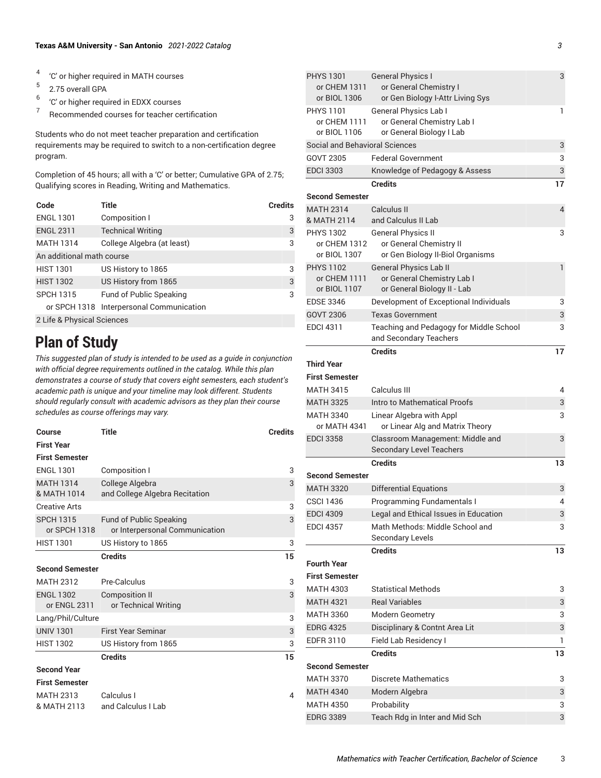- 4 'C' or higher required in MATH courses
- 5 2.75 overall GPA
- 6 'C' or higher required in EDXX courses
- 7 Recommended courses for teacher certification

Students who do not meet teacher preparation and certification requirements may be required to switch to a non-certification degree program.

Completion of 45 hours; all with a 'C' or better; Cumulative GPA of 2.75; Qualifying scores in Reading, Writing and Mathematics.

| Code                       | Title                                    | <b>Credits</b> |
|----------------------------|------------------------------------------|----------------|
| <b>ENGL 1301</b>           | Composition I                            | 3              |
| <b>ENGL 2311</b>           | <b>Technical Writing</b>                 | 3              |
| <b>MATH 1314</b>           | College Algebra (at least)               | 3              |
| An additional math course  |                                          |                |
| <b>HIST 1301</b>           | US History to 1865                       | 3              |
| <b>HIST 1302</b>           | US History from 1865                     | 3              |
| <b>SPCH 1315</b>           | <b>Fund of Public Speaking</b>           | 3              |
|                            | or SPCH 1318 Interpersonal Communication |                |
| 2 Life & Physical Sciences |                                          |                |

## **Plan of Study**

*This suggested plan of study is intended to be used as a guide in conjunction with official degree requirements outlined in the catalog. While this plan demonstrates a course of study that covers eight semesters, each student's academic path is unique and your timeline may look different. Students should regularly consult with academic advisors as they plan their course schedules as course offerings may vary.*

| <b>Course</b>          | <b>Title</b>                   | <b>Credits</b> |
|------------------------|--------------------------------|----------------|
| <b>First Year</b>      |                                |                |
| <b>First Semester</b>  |                                |                |
| <b>ENGL 1301</b>       | Composition I                  | 3              |
| <b>MATH 1314</b>       | College Algebra                | 3              |
| & MATH 1014            | and College Algebra Recitation |                |
| <b>Creative Arts</b>   |                                | 3              |
| <b>SPCH 1315</b>       | <b>Fund of Public Speaking</b> | 3              |
| or SPCH 1318           | or Interpersonal Communication |                |
| <b>HIST 1301</b>       | US History to 1865             | 3              |
|                        | <b>Credits</b>                 | 15             |
| <b>Second Semester</b> |                                |                |
| <b>MATH 2312</b>       | Pre-Calculus                   | 3              |
| <b>ENGL 1302</b>       | <b>Composition II</b>          | 3              |
| or ENGL 2311           | or Technical Writing           |                |
| Lang/Phil/Culture      |                                | 3              |
| <b>UNIV 1301</b>       | <b>First Year Seminar</b>      | 3              |
| <b>HIST 1302</b>       | US History from 1865           | 3              |
|                        | <b>Credits</b>                 | 15             |
| <b>Second Year</b>     |                                |                |
| <b>First Semester</b>  |                                |                |
| <b>MATH 2313</b>       | Calculus I                     | 4              |
| & MATH 2113            | and Calculus I Lab             |                |

| <b>PHYS 1301</b><br>or CHEM 1311<br>or BIOL 1306 | <b>General Physics I</b><br>or General Chemistry I<br>or Gen Biology I-Attr Living Sys     | 3            |
|--------------------------------------------------|--------------------------------------------------------------------------------------------|--------------|
| <b>PHYS 1101</b><br>or CHEM 1111<br>or BIOL 1106 | <b>General Physics Lab I</b><br>or General Chemistry Lab I<br>or General Biology I Lab     | 1            |
| Social and Behavioral Sciences                   |                                                                                            | 3            |
| GOVT 2305                                        | <b>Federal Government</b>                                                                  | 3            |
| <b>EDCI 3303</b>                                 | Knowledge of Pedagogy & Assess                                                             | 3            |
|                                                  | <b>Credits</b>                                                                             | 17           |
| <b>Second Semester</b>                           |                                                                                            |              |
| <b>MATH 2314</b>                                 | Calculus II                                                                                | 4            |
| & MATH 2114                                      | and Calculus II Lab                                                                        |              |
| <b>PHYS 1302</b><br>or CHEM 1312<br>or BIOL 1307 | <b>General Physics II</b><br>or General Chemistry II<br>or Gen Biology II-Biol Organisms   | 3            |
| <b>PHYS 1102</b><br>or CHEM 1111<br>or BIOL 1107 | <b>General Physics Lab II</b><br>or General Chemistry Lab I<br>or General Biology II - Lab | $\mathbf{1}$ |
| <b>EDSE 3346</b>                                 | Development of Exceptional Individuals                                                     | 3            |
| GOVT 2306                                        | <b>Texas Government</b>                                                                    | 3            |
| <b>EDCI 4311</b>                                 | Teaching and Pedagogy for Middle School<br>and Secondary Teachers                          | 3            |
|                                                  | <b>Credits</b>                                                                             | 17           |
| <b>Third Year</b>                                |                                                                                            |              |
| <b>First Semester</b>                            |                                                                                            |              |
| <b>MATH 3415</b>                                 | Calculus III                                                                               | 4            |
| <b>MATH 3325</b>                                 | Intro to Mathematical Proofs                                                               | 3            |
| <b>MATH 3340</b><br>or MATH 4341                 | Linear Algebra with Appl<br>or Linear Alg and Matrix Theory                                | 3            |
| <b>EDCI 3358</b>                                 | Classroom Management: Middle and<br><b>Secondary Level Teachers</b>                        | 3            |
|                                                  | <b>Credits</b>                                                                             | 13           |
| <b>Second Semester</b>                           |                                                                                            |              |
| <b>MATH 3320</b>                                 | <b>Differential Equations</b>                                                              | 3            |
| <b>CSCI 1436</b>                                 | Programming Fundamentals I                                                                 | 4            |
| <b>EDCI 4309</b>                                 | Legal and Ethical Issues in Education                                                      | 3            |
| <b>EDCI 4357</b>                                 | Math Methods: Middle School and<br><b>Secondary Levels</b>                                 | 3            |
|                                                  | <b>Credits</b>                                                                             | 13           |
| <b>Fourth Year</b>                               |                                                                                            |              |
| <b>First Semester</b>                            |                                                                                            |              |
| <b>MATH 4303</b>                                 | <b>Statistical Methods</b>                                                                 | 3            |
| <b>MATH 4321</b>                                 | <b>Real Variables</b>                                                                      | 3            |
| <b>MATH 3360</b>                                 | Modern Geometry                                                                            | 3            |
| <b>EDRG 4325</b>                                 | Disciplinary & Contnt Area Lit                                                             | 3            |
| EDFR 3110                                        | Field Lab Residency I                                                                      | 1            |
| <b>Second Semester</b>                           | <b>Credits</b>                                                                             | 13           |
| <b>MATH 3370</b>                                 | <b>Discrete Mathematics</b>                                                                | 3            |
| <b>MATH 4340</b>                                 | Modern Algebra                                                                             | 3            |
| <b>MATH 4350</b>                                 | Probability                                                                                | 3            |
| <b>EDRG 3389</b>                                 | Teach Rdg in Inter and Mid Sch                                                             | 3            |